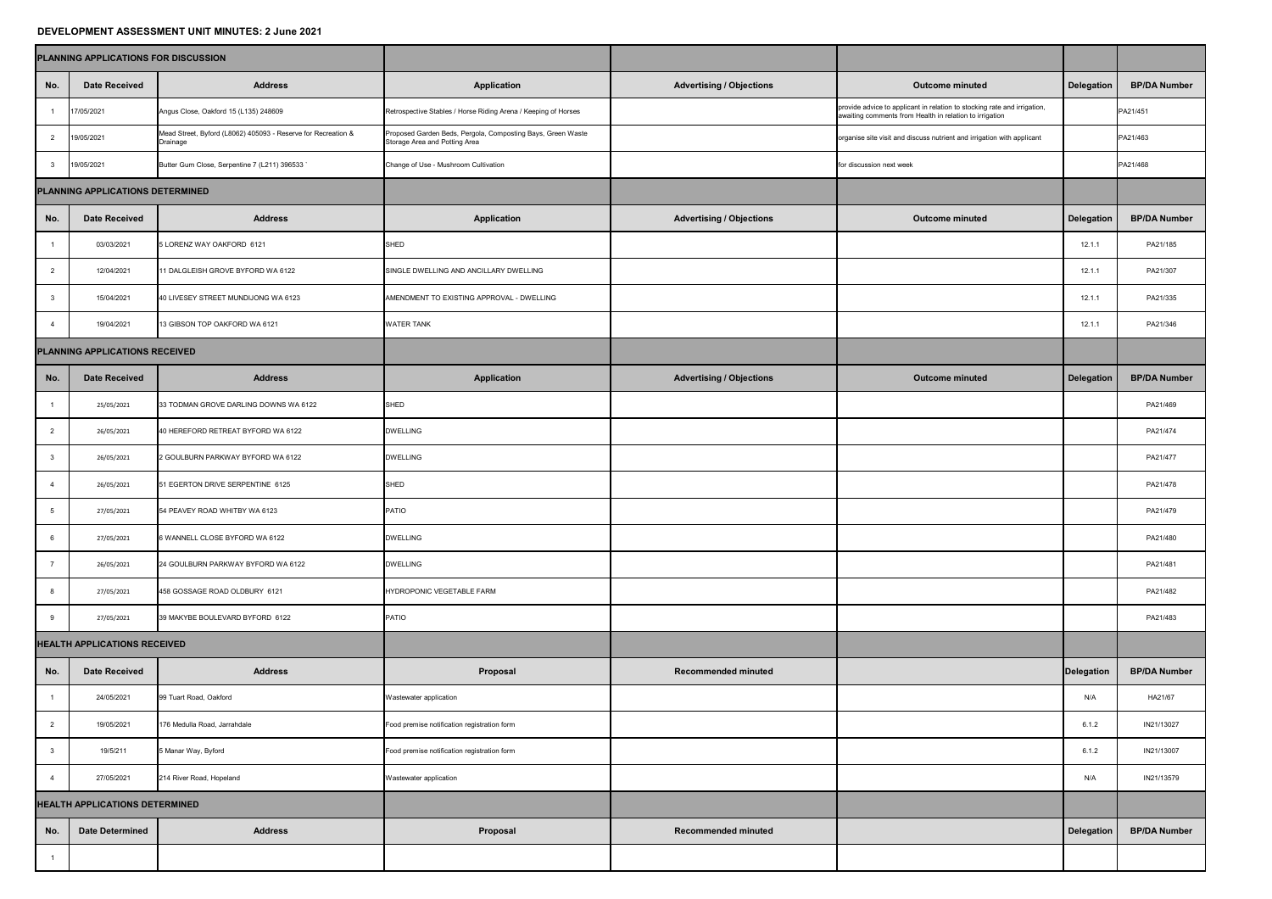## **DEVELOPMENT ASSESSMENT UNIT MINUTES: 2 June 2021**

|                                       | <b>PLANNING APPLICATIONS FOR DISCUSSION</b> |                                                                           |                                                                                              |                                 |                                                                                                                                     |                   |                     |
|---------------------------------------|---------------------------------------------|---------------------------------------------------------------------------|----------------------------------------------------------------------------------------------|---------------------------------|-------------------------------------------------------------------------------------------------------------------------------------|-------------------|---------------------|
| No.                                   | <b>Date Received</b>                        | <b>Address</b>                                                            | <b>Application</b>                                                                           | <b>Advertising / Objections</b> | <b>Outcome minuted</b>                                                                                                              | <b>Delegation</b> | <b>BP/DA Number</b> |
|                                       | 17/05/2021                                  | Angus Close, Oakford 15 (L135) 248609                                     | Retrospective Stables / Horse Riding Arena / Keeping of Horses                               |                                 | provide advice to applicant in relation to stocking rate and irrigation,<br>awaiting comments from Health in relation to irrigation |                   | PA21/451            |
| $\overline{2}$                        | 19/05/2021                                  | Mead Street, Byford (L8062) 405093 - Reserve for Recreation &<br>Drainage | Proposed Garden Beds, Pergola, Composting Bays, Green Waste<br>Storage Area and Potting Area |                                 | organise site visit and discuss nutrient and irrigation with applicant                                                              |                   | PA21/463            |
| $\mathbf{3}$                          | 19/05/2021                                  | Butter Gum Close, Serpentine 7 (L211) 396533 `                            | Change of Use - Mushroom Cultivation                                                         |                                 | for discussion next week                                                                                                            |                   | PA21/468            |
| PLANNING APPLICATIONS DETERMINED      |                                             |                                                                           |                                                                                              |                                 |                                                                                                                                     |                   |                     |
| No.                                   | <b>Date Received</b>                        | <b>Address</b>                                                            | <b>Application</b>                                                                           | <b>Advertising / Objections</b> | <b>Outcome minuted</b>                                                                                                              | Delegation        | <b>BP/DA Number</b> |
|                                       | 03/03/2021                                  | 5 LORENZ WAY OAKFORD 6121                                                 | SHED                                                                                         |                                 |                                                                                                                                     | 12.1.7            | PA21/185            |
| $\overline{2}$                        | 12/04/2021                                  | 11 DALGLEISH GROVE BYFORD WA 6122                                         | SINGLE DWELLING AND ANCILLARY DWELLING                                                       |                                 |                                                                                                                                     | 12.1.1            | PA21/307            |
|                                       | 15/04/2021                                  | 40 LIVESEY STREET MUNDIJONG WA 6123                                       | AMENDMENT TO EXISTING APPROVAL - DWELLING                                                    |                                 |                                                                                                                                     | 12.1.7            | PA21/335            |
|                                       | 19/04/2021                                  | 13 GIBSON TOP OAKFORD WA 6121                                             | <b>WATER TANK</b>                                                                            |                                 |                                                                                                                                     | 12.1.1            | PA21/346            |
| <b>PLANNING APPLICATIONS RECEIVED</b> |                                             |                                                                           |                                                                                              |                                 |                                                                                                                                     |                   |                     |
| No.                                   | <b>Date Received</b>                        | <b>Address</b>                                                            | <b>Application</b>                                                                           | <b>Advertising / Objections</b> | <b>Outcome minuted</b>                                                                                                              | Delegation        | <b>BP/DA Number</b> |
|                                       | 25/05/2021                                  | 33 TODMAN GROVE DARLING DOWNS WA 6122                                     | <b>SHED</b>                                                                                  |                                 |                                                                                                                                     |                   | PA21/469            |
|                                       | 26/05/2021                                  | 40 HEREFORD RETREAT BYFORD WA 6122                                        | <b>DWELLING</b>                                                                              |                                 |                                                                                                                                     |                   | PA21/474            |
|                                       | 26/05/2021                                  | 2 GOULBURN PARKWAY BYFORD WA 6122                                         | <b>DWELLING</b>                                                                              |                                 |                                                                                                                                     |                   | PA21/477            |
|                                       | 26/05/2021                                  | 51 EGERTON DRIVE SERPENTINE 6125                                          | <b>SHED</b>                                                                                  |                                 |                                                                                                                                     |                   | PA21/478            |
|                                       | 27/05/2021                                  | 54 PEAVEY ROAD WHITBY WA 6123                                             | PATIO                                                                                        |                                 |                                                                                                                                     |                   | PA21/479            |
|                                       | 27/05/2021                                  | 6 WANNELL CLOSE BYFORD WA 6122                                            | <b>DWELLING</b>                                                                              |                                 |                                                                                                                                     |                   | PA21/480            |
|                                       | 26/05/2021                                  | 24 GOULBURN PARKWAY BYFORD WA 6122                                        | <b>DWELLING</b>                                                                              |                                 |                                                                                                                                     |                   | PA21/481            |
|                                       | 27/05/2021                                  | 458 GOSSAGE ROAD OLDBURY 6121                                             | HYDROPONIC VEGETABLE FARM                                                                    |                                 |                                                                                                                                     |                   | PA21/482            |
|                                       | 27/05/2021                                  | 39 MAKYBE BOULEVARD BYFORD 6122                                           | <b>PATIO</b>                                                                                 |                                 |                                                                                                                                     |                   | PA21/483            |
|                                       | <b>HEALTH APPLICATIONS RECEIVED</b>         |                                                                           |                                                                                              |                                 |                                                                                                                                     |                   |                     |
| No.                                   | <b>Date Received</b>                        | <b>Address</b>                                                            | <b>Proposal</b>                                                                              | <b>Recommended minuted</b>      |                                                                                                                                     | Delegation        | <b>BP/DA Number</b> |
|                                       | 24/05/2021                                  | 99 Tuart Road, Oakford                                                    | Wastewater application                                                                       |                                 |                                                                                                                                     | N/A               | HA21/67             |
|                                       | 19/05/2021                                  | 176 Medulla Road, Jarrahdale                                              | Food premise notification registration form                                                  |                                 |                                                                                                                                     | 6.1.2             | IN21/13027          |
|                                       | 19/5/211                                    | 5 Manar Way, Byford                                                       | Food premise notification registration form                                                  |                                 |                                                                                                                                     | 6.1.2             | IN21/13007          |
|                                       | 27/05/2021                                  | 214 River Road, Hopeland                                                  | Wastewater application                                                                       |                                 |                                                                                                                                     | N/A               | IN21/13579          |
| <b>HEALTH APPLICATIONS DETERMINED</b> |                                             |                                                                           |                                                                                              |                                 |                                                                                                                                     |                   |                     |
| No.                                   | <b>Date Determined</b>                      | <b>Address</b>                                                            | <b>Proposal</b>                                                                              | <b>Recommended minuted</b>      |                                                                                                                                     | Delegation        | <b>BP/DA Number</b> |
|                                       |                                             |                                                                           |                                                                                              |                                 |                                                                                                                                     |                   |                     |